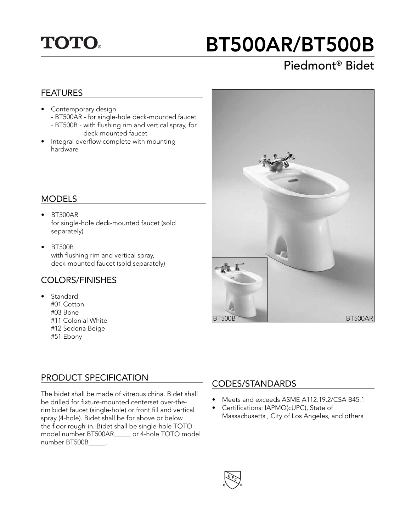# **TOTO.**

# BT500AR/BT500B

# Piedmont® Bidet

#### FEATURES

- Contemporary design - BT500AR - for single-hole deck-mounted faucet - BT500B - with flushing rim and vertical spray, for
- deck-mounted faucet
- Integral overflow complete with mounting hardware

#### MODELS

- BT500AR for single-hole deck-mounted faucet (sold separately)
- BT500B with flushing rim and vertical spray, deck-mounted faucet (sold separately)

#### COLORS/FINISHES

• Standard #01 Cotton #03 Bone #11 Colonial White #12 Sedona Beige #51 Ebony



#### PRODUCT SPECIFICATION

The bidet shall be made of vitreous china. Bidet shall be drilled for fixture-mounted centerset over-therim bidet faucet (single-hole) or front fill and vertical spray (4-hole). Bidet shall be for above or below the floor rough-in. Bidet shall be single-hole TOTO model number BT500AR\_\_\_\_\_ or 4-hole TOTO model number BT500B\_\_\_\_\_.

#### CODES/STANDARDS

- Meets and exceeds ASME A112.19.2/CSA B45.1
- Certifications: IAPMO(cUPC), State of Massachusetts , City of Los Angeles, and others